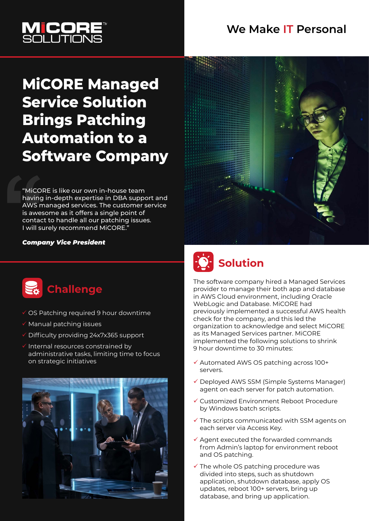#### **We Make IT Personal**



### **MiCORE Managed Service Solution Brings Patching Automation to a Software Company**

"MiCORE is like our own in-house team having in-depth expertise in DBA support and AWS managed services. The customer service is awesome as it offers a single point of contact to handle all our patching issues. I will surely recommend MiCORE."

#### *Company Vice President*



## **Challenge**

- OS Patching required 9 hour downtime
- $\checkmark$  Manual patching issues
- Difficulty providing 24x7x365 support
- Internal resources constrained by administrative tasks, limiting time to focus on strategic initiatives



# **Solution**

The software company hired a Managed Services provider to manage their both app and database in AWS Cloud environment, including Oracle WebLogic and Database. MiCORE had previously implemented a successful AWS health check for the company, and this led the organization to acknowledge and select MiCORE as its Managed Services partner. MiCORE implemented the following solutions to shrink 9 hour downtime to 30 minutes:

- Automated AWS OS patching across 100+ servers.
- Deployed AWS SSM (Simple Systems Manager) agent on each server for patch automation.
- Customized Environment Reboot Procedure by Windows batch scripts.
- $\checkmark$  The scripts communicated with SSM agents on each server via Access Key.
- $\checkmark$  Agent executed the forwarded commands from Admin's laptop for environment reboot and OS patching.
- $\checkmark$  The whole OS patching procedure was divided into steps, such as shutdown application, shutdown database, apply OS updates, reboot 100+ servers, bring up database, and bring up application.